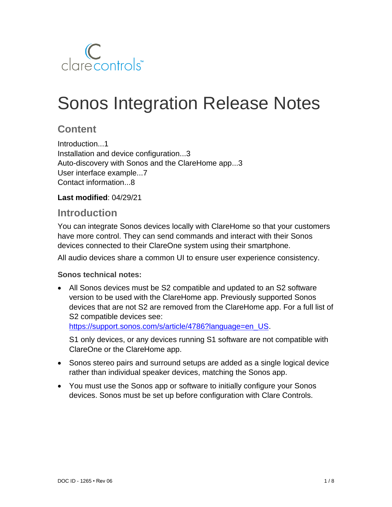

# Sonos Integration Release Notes

## **Content**

Introduction...1 Installation and device configuration...3 Auto-discovery with Sonos and the ClareHome app...3 User interface example...7 Contact information...8

**Last modified**: 04/29/21

## **Introduction**

You can integrate Sonos devices locally with ClareHome so that your customers have more control. They can send commands and interact with their Sonos devices connected to their ClareOne system using their smartphone.

All audio devices share a common UI to ensure user experience consistency.

#### **Sonos technical notes:**

• All Sonos devices must be S2 compatible and updated to an S2 software version to be used with the ClareHome app. Previously supported Sonos devices that are not S2 are removed from the ClareHome app. For a full list of S2 compatible devices see:

[https://support.sonos.com/s/article/4786?language=en\\_US.](https://support.sonos.com/s/article/4786?language=en_US)

S1 only devices, or any devices running S1 software are not compatible with ClareOne or the ClareHome app.

- Sonos stereo pairs and surround setups are added as a single logical device rather than individual speaker devices, matching the Sonos app.
- You must use the Sonos app or software to initially configure your Sonos devices. Sonos must be set up before configuration with Clare Controls.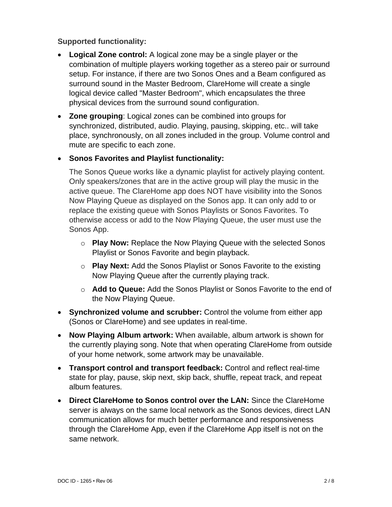#### **Supported functionality:**

- **Logical Zone control:** A logical zone may be a single player or the combination of multiple players working together as a stereo pair or surround setup. For instance, if there are two Sonos Ones and a Beam configured as surround sound in the Master Bedroom, ClareHome will create a single logical device called "Master Bedroom", which encapsulates the three physical devices from the surround sound configuration.
- **Zone grouping**: Logical zones can be combined into groups for synchronized, distributed, audio. Playing, pausing, skipping, etc.. will take place, synchronously, on all zones included in the group. Volume control and mute are specific to each zone.
- **Sonos Favorites and Playlist functionality:**

The Sonos Queue works like a dynamic playlist for actively playing content. Only speakers/zones that are in the active group will play the music in the active queue. The ClareHome app does NOT have visibility into the Sonos Now Playing Queue as displayed on the Sonos app. It can only add to or replace the existing queue with Sonos Playlists or Sonos Favorites. To otherwise access or add to the Now Playing Queue, the user must use the Sonos App.

- o **Play Now:** Replace the Now Playing Queue with the selected Sonos Playlist or Sonos Favorite and begin playback.
- o **Play Next:** Add the Sonos Playlist or Sonos Favorite to the existing Now Playing Queue after the currently playing track.
- o **Add to Queue:** Add the Sonos Playlist or Sonos Favorite to the end of the Now Playing Queue.
- **Synchronized volume and scrubber:** Control the volume from either app (Sonos or ClareHome) and see updates in real-time.
- **Now Playing Album artwork:** When available, album artwork is shown for the currently playing song. Note that when operating ClareHome from outside of your home network, some artwork may be unavailable.
- **Transport control and transport feedback:** Control and reflect real-time state for play, pause, skip next, skip back, shuffle, repeat track, and repeat album features.
- **Direct ClareHome to Sonos control over the LAN:** Since the ClareHome server is always on the same local network as the Sonos devices, direct LAN communication allows for much better performance and responsiveness through the ClareHome App, even if the ClareHome App itself is not on the same network.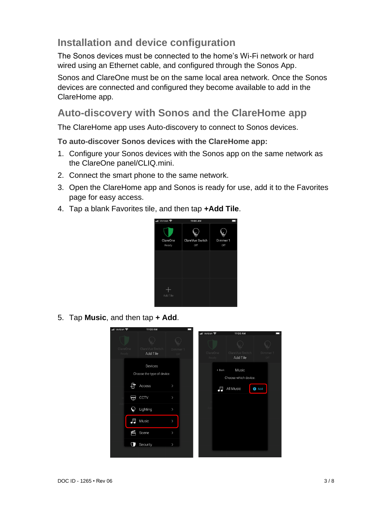# **Installation and device configuration**

The Sonos devices must be connected to the home's Wi-Fi network or hard wired using an Ethernet cable, and configured through the Sonos App.

Sonos and ClareOne must be on the same local area network. Once the Sonos devices are connected and configured they become available to add in the ClareHome app.

## **Auto-discovery with Sonos and the ClareHome app**

The ClareHome app uses Auto-discovery to connect to Sonos devices.

**To auto-discover Sonos devices with the ClareHome app:** 

- 1. Configure your Sonos devices with the Sonos app on the same network as the ClareOne panel/CLIQ.mini.
- 2. Connect the smart phone to the same network.
- 3. Open the ClareHome app and Sonos is ready for use, add it to the Favorites page for easy access.
- 4. Tap a blank Favorites tile, and then tap **+Add Tile**.



5. Tap **Music**, and then tap **+ Add**.

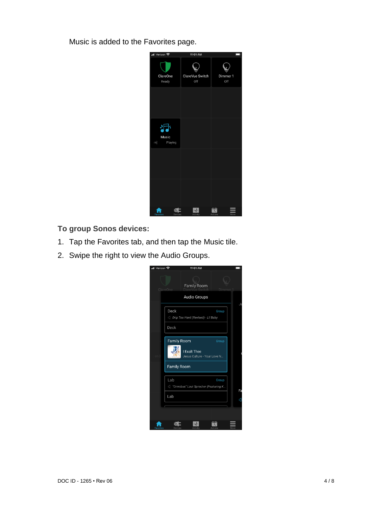Music is added to the Favorites page.



**To group Sonos devices:** 

- 1. Tap the Favorites tab, and then tap the Music tile.
- 2. Swipe the right to view the Audio Groups.

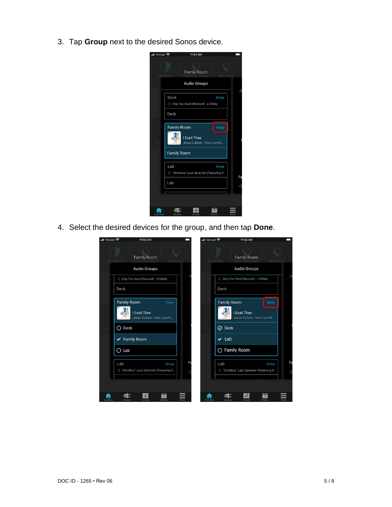3. Tap **Group** next to the desired Sonos device.

| ull Verizon 우 | 11:01 AM                                                                      |    |
|---------------|-------------------------------------------------------------------------------|----|
|               | Family Room<br><b>ClareOne</b><br>Dimm<br>Audio Groups                        |    |
|               |                                                                               | Je |
|               | Deck<br>Group<br>Drip Too Hard (Revised) - Lil Baby                           |    |
|               | Deck                                                                          |    |
|               | <b>Family Room</b><br>Group                                                   |    |
|               | I Exalt Thee<br>Jesus Culture - Your Love N                                   |    |
|               | <b>Family Room</b>                                                            |    |
|               | Lab<br>Group                                                                  |    |
|               | <d "omnibus"="" (featuring="" k<="" laut="" sprecher="" td=""><td>Fa</td></d> | Fa |
|               | Lab                                                                           |    |
|               |                                                                               |    |
|               | Davinas                                                                       |    |

4. Select the desired devices for the group, and then tap **Done**.

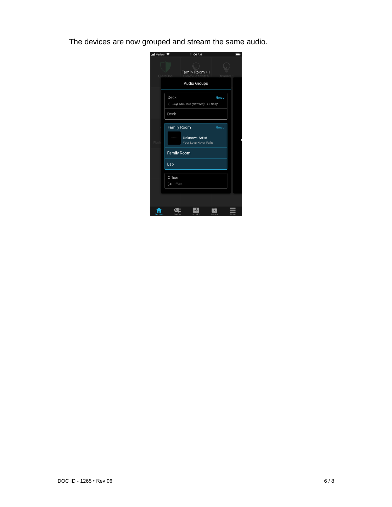The devices are now grouped and stream the same audio.

| nil Verizon <b>수</b> |                        | 11:06 AM                                       |         |  |
|----------------------|------------------------|------------------------------------------------|---------|--|
|                      | ClareOne               | Family Room +1<br><b>Audio Groups</b>          | Dimme   |  |
|                      |                        |                                                |         |  |
|                      | Deck                   | Drip Too Hard (Revised) - Lil Baby             | Group   |  |
|                      | Deck                   |                                                |         |  |
|                      |                        |                                                |         |  |
|                      | <b>Family Room</b>     | <b>Unknown Artist</b><br>Your Love Never Fails | Group   |  |
|                      | <b>Family Room</b>     |                                                |         |  |
|                      | Lab                    |                                                |         |  |
|                      | Office<br>(vi) Offline |                                                |         |  |
|                      |                        |                                                |         |  |
| Fav                  |                        |                                                | Actions |  |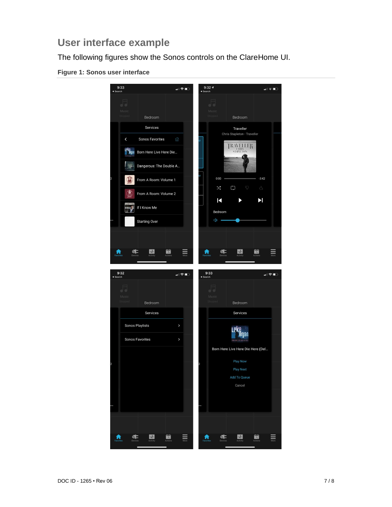## **User interface example**

The following figures show the Sonos controls on the ClareHome UI.